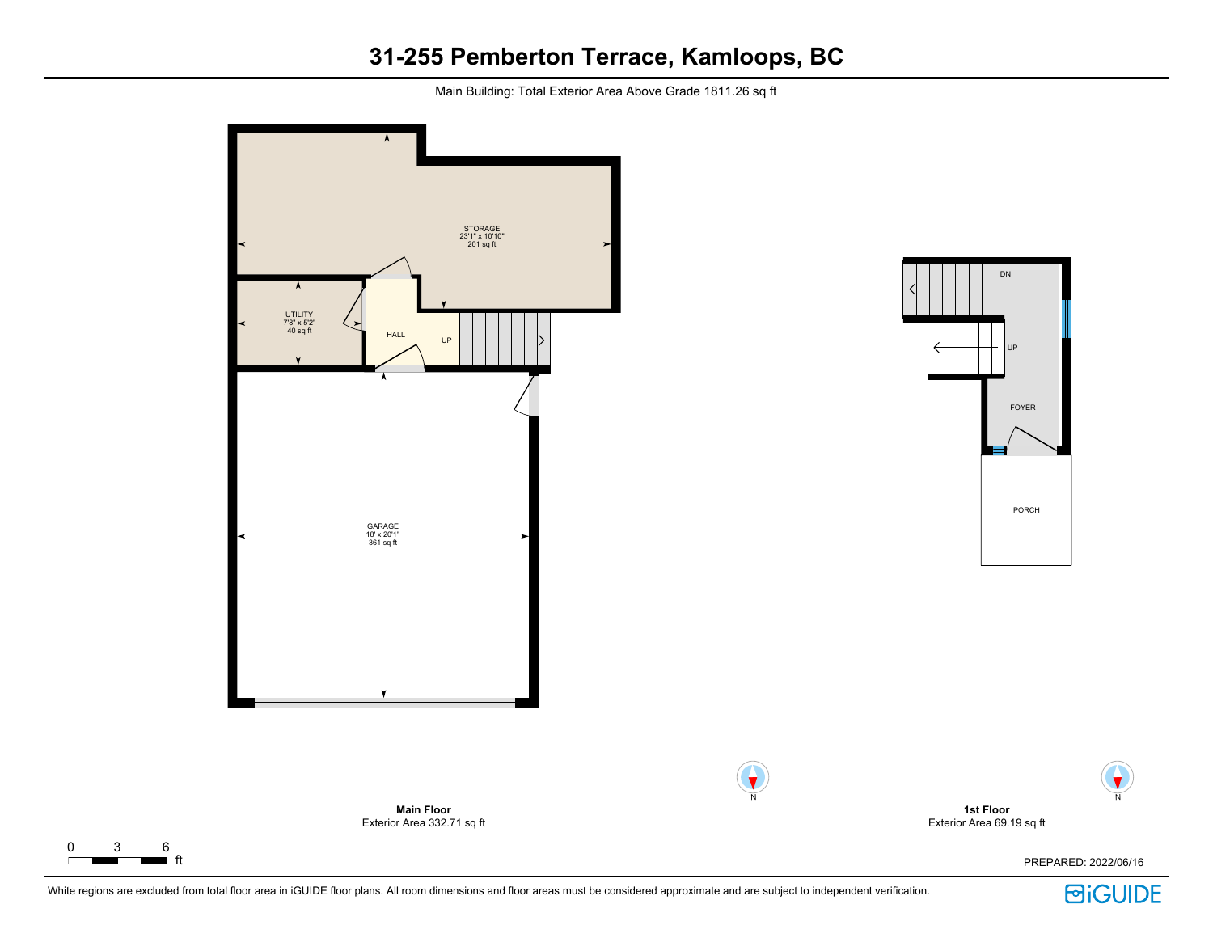Main Building: Total Exterior Area Above Grade 1811.26 sq ft



 $\Gamma$ 



N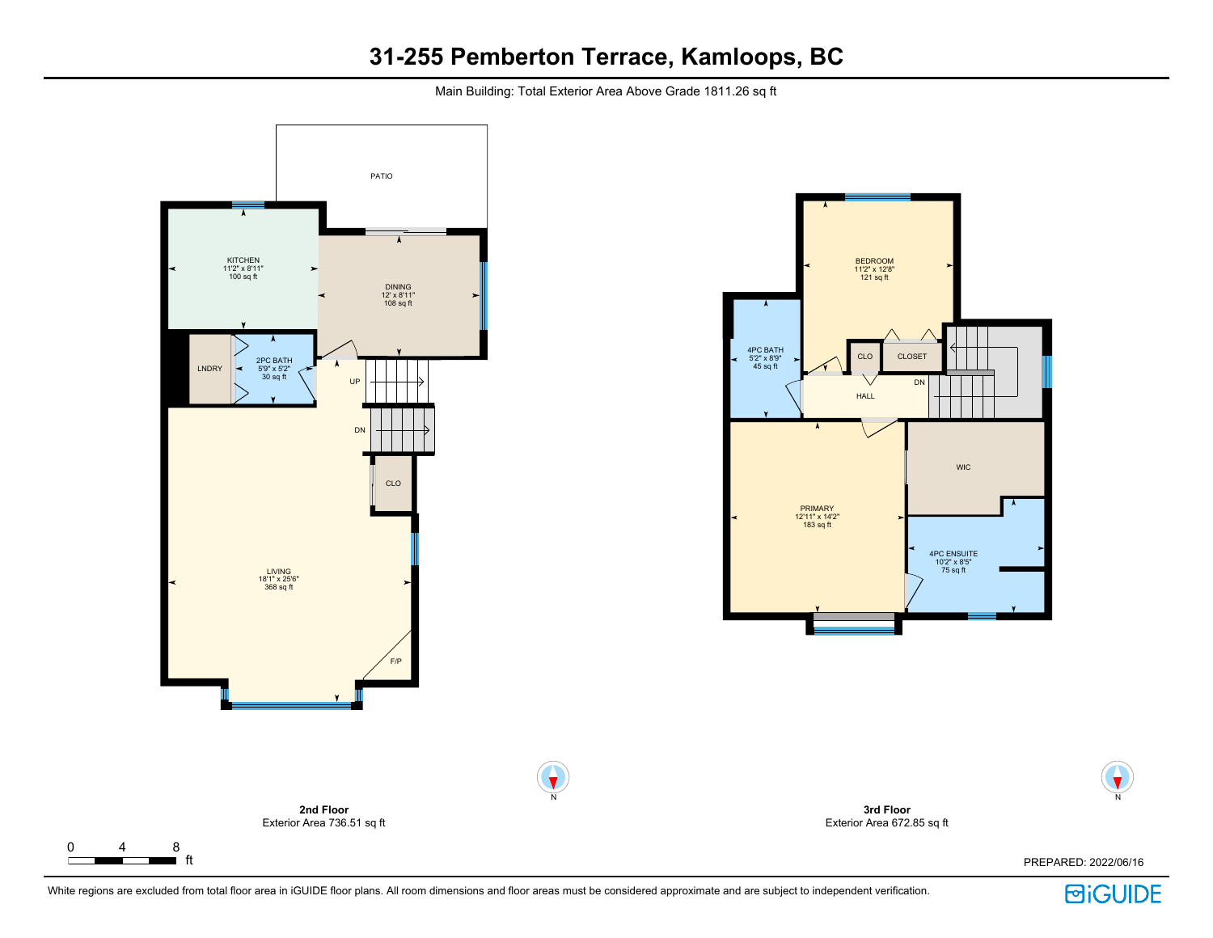Main Building: Total Exterior Area Above Grade 1811.26 sq ft



ft PREPARED: 2022/06/16

 $\Gamma$ 



N

 $\blacktriangledown$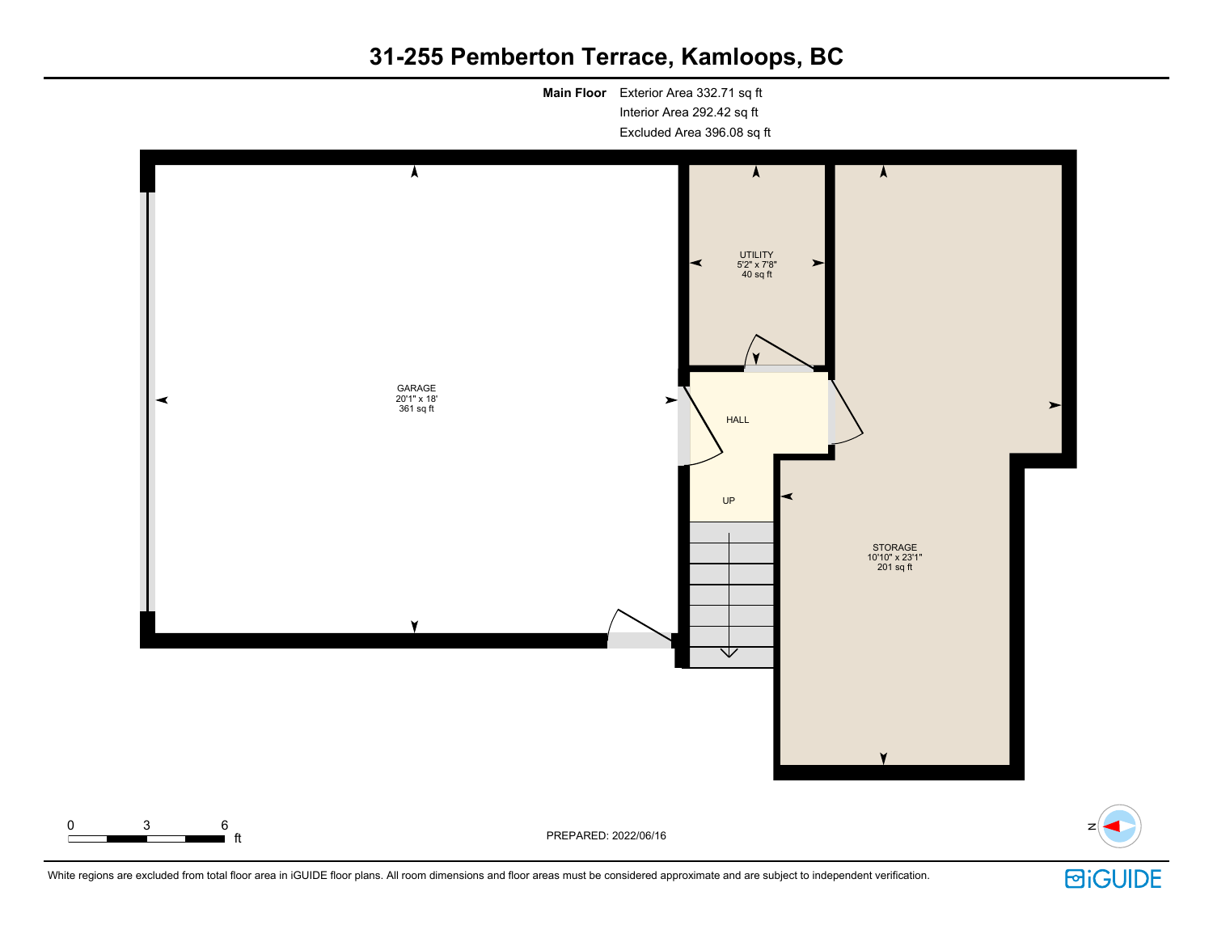**Main Floor** Exterior Area 332.71 sq ft Interior Area 292.42 sq ft Excluded Area 396.08 sq ft



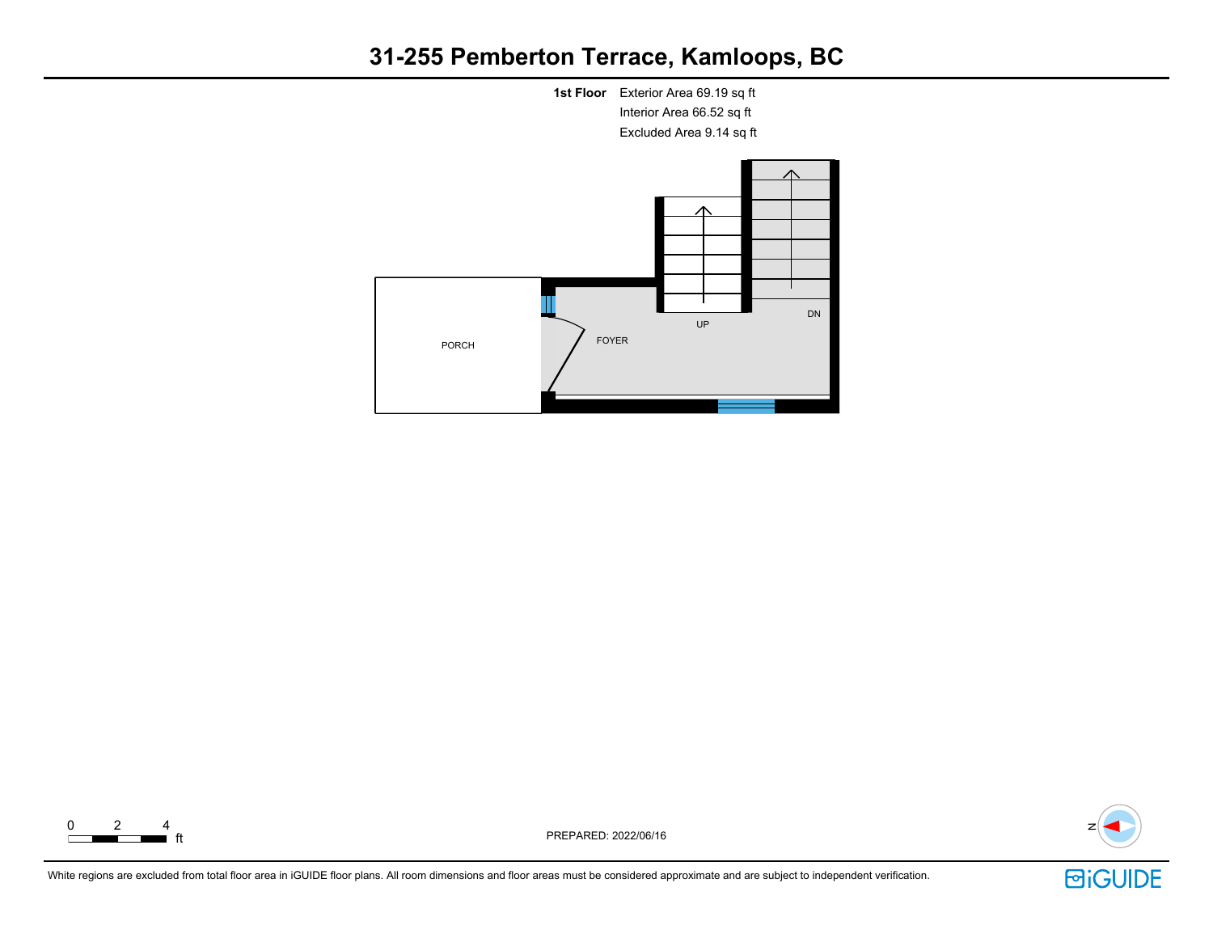







ft PREPARED: 2022/06/16 <sup>N</sup>

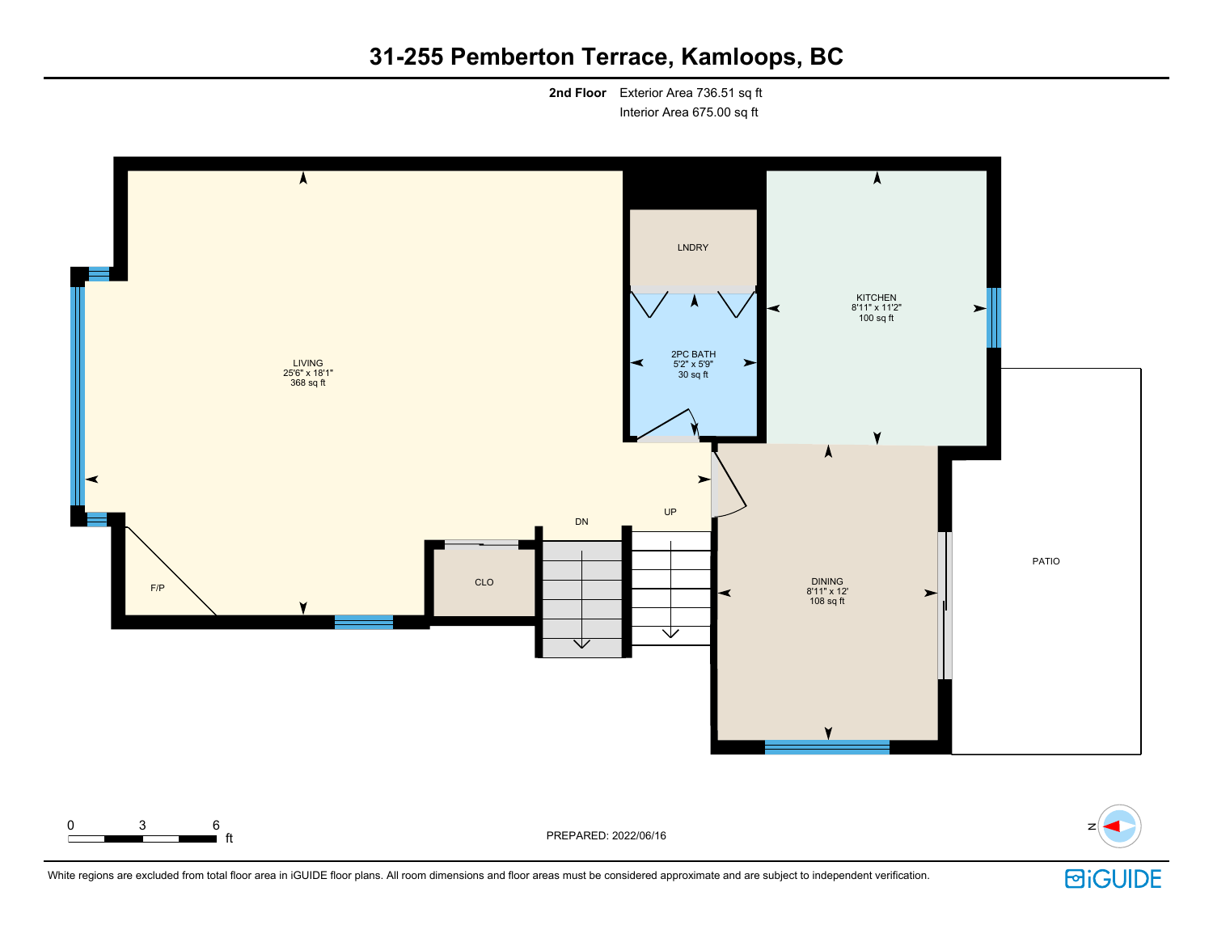**2nd Floor** Exterior Area 736.51 sq ft Interior Area 675.00 sq ft





White regions are excluded from total floor area in iGUIDE floor plans. All room dimensions and floor areas must be considered approximate and are subject to independent verification.

0 3 6

**BiGUIDE**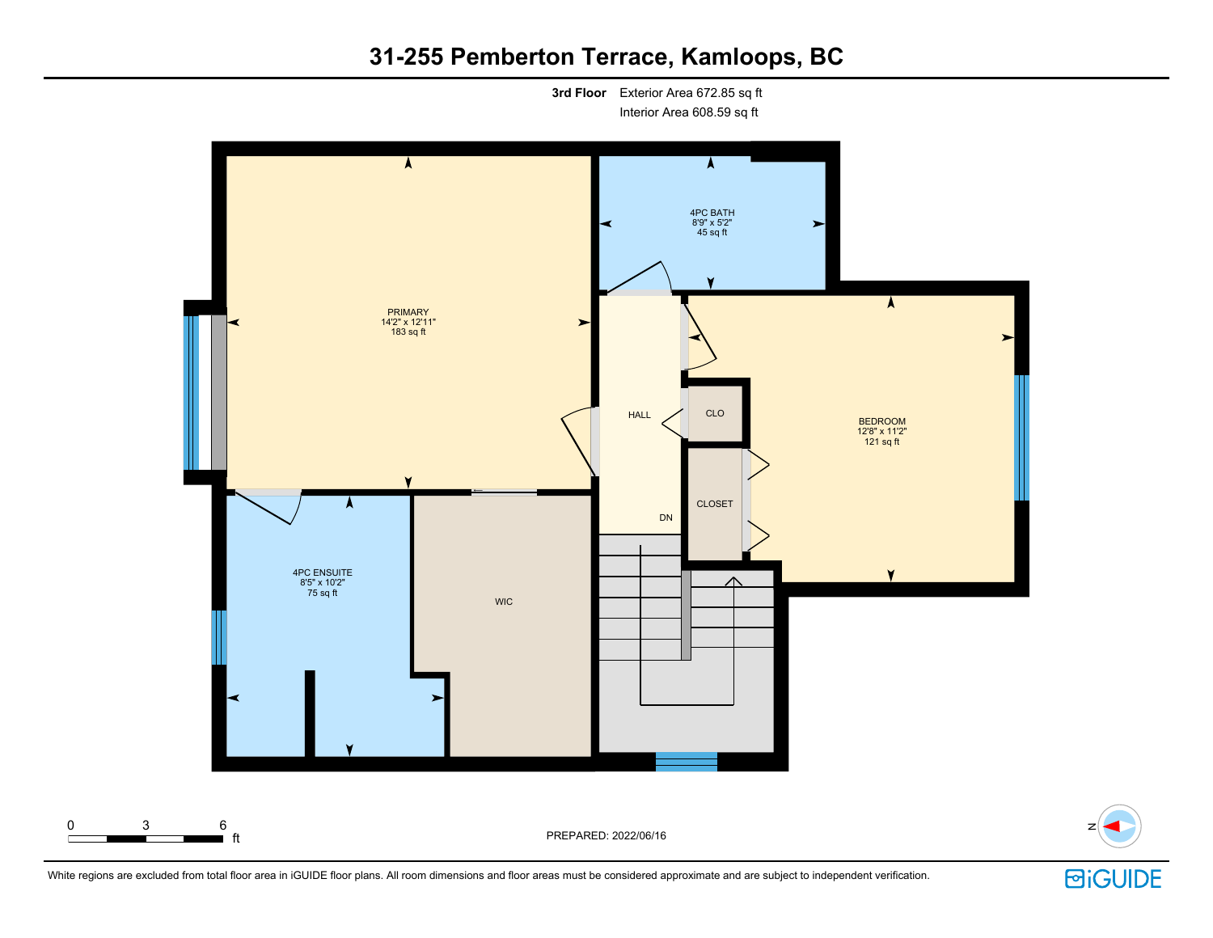**3rd Floor** Exterior Area 672.85 sq ft Interior Area 608.59 sq ft

 $\overline{\bm{\lambda}}$  $\bm{\lambda}$ 4PC BATH 8'9" x 5'2" 45 sq ft  $\blacktriangleright$  $\blacktriangle$ PRIMARY 14'2" x 12'11"  $\blacktriangleright$ 183 sq ft  $\blacktriangleright$ HALL CLO BEDROOM 12'8" x 11'2" 121 sq ft CLOSET DN 4PC ENSUITE 8'5" x 10'2" 75 sq ft WIC 0 3 6  $\,$  PREPARED: 2022/06/16  $\,$ 



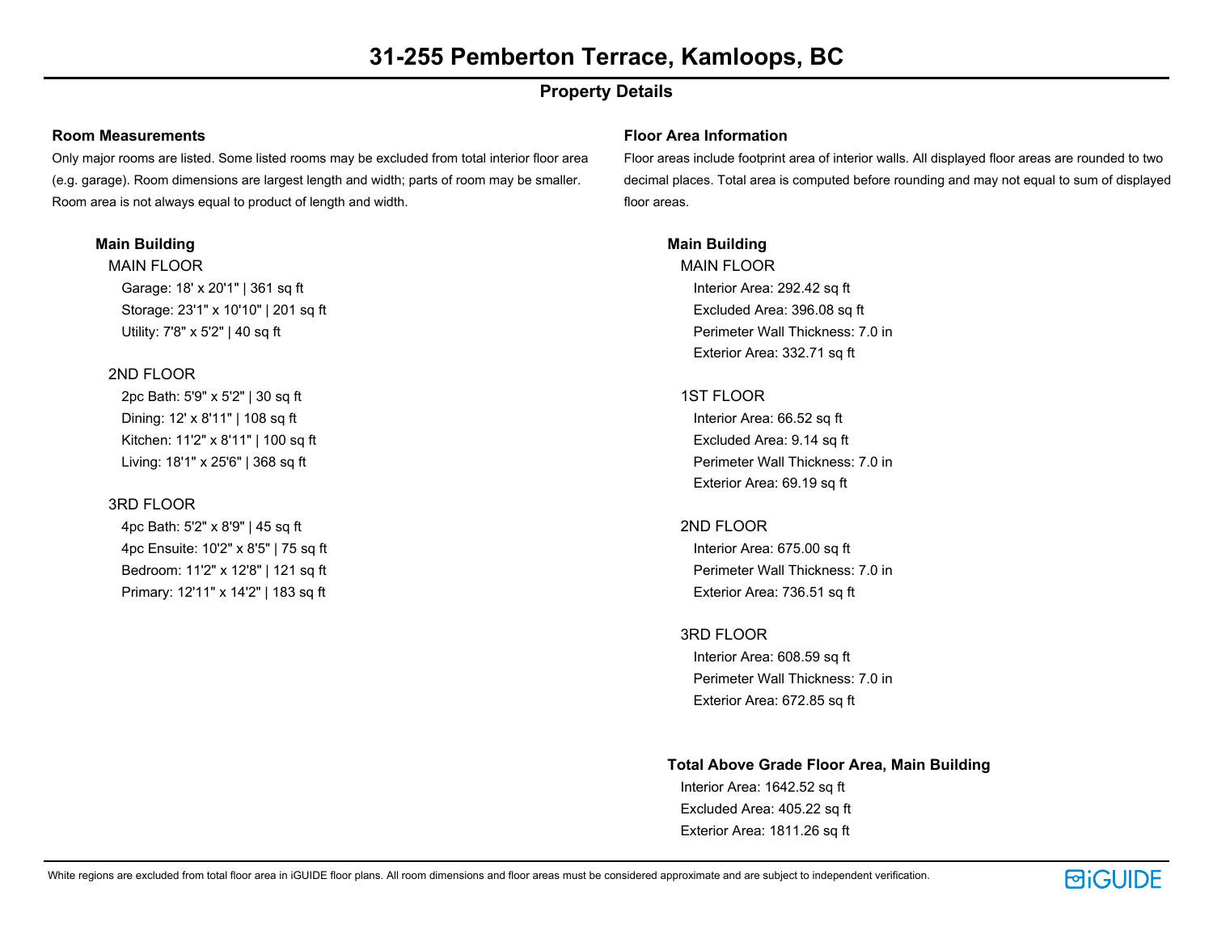## **Property Details**

#### **Room Measurements**

Only major rooms are listed. Some listed rooms may be excluded from total interior floor area (e.g. garage). Room dimensions are largest length and width; parts of room may be smaller. Room area is not always equal to product of length and width.

## **Main Building**

MAIN FLOOR Garage: 18' x 20'1" | 361 sq ft Storage: 23'1" x 10'10" | 201 sq ft Utility: 7'8" x 5'2" | 40 sq ft

## 2ND FLOOR

2pc Bath: 5'9" x 5'2" | 30 sq ft Dining: 12' x 8'11" | 108 sq ft Kitchen: 11'2" x 8'11" | 100 sq ft Living: 18'1" x 25'6" | 368 sq ft

## 3RD FLOOR

4pc Bath: 5'2" x 8'9" | 45 sq ft 4pc Ensuite: 10'2" x 8'5" | 75 sq ft Bedroom: 11'2" x 12'8" | 121 sq ft Primary: 12'11" x 14'2" | 183 sq ft

#### **Floor Area Information**

Floor areas include footprint area of interior walls. All displayed floor areas are rounded to two decimal places. Total area is computed before rounding and may not equal to sum of displayed floor areas.

## **Main Building**

MAIN FLOOR Interior Area: 292.42 sq ft Excluded Area: 396.08 sq ft Perimeter Wall Thickness: 7.0 in Exterior Area: 332.71 sq ft

## 1ST FLOOR

Interior Area: 66.52 sq ft Excluded Area: 9.14 sq ft Perimeter Wall Thickness: 7.0 in Exterior Area: 69.19 sq ft

## 2ND FLOOR

Interior Area: 675.00 sq ft Perimeter Wall Thickness: 7.0 in Exterior Area: 736.51 sq ft

## 3RD FLOOR

Interior Area: 608.59 sq ft Perimeter Wall Thickness: 7.0 in Exterior Area: 672.85 sq ft

#### **Total Above Grade Floor Area, Main Building**

Interior Area: 1642.52 sq ft Excluded Area: 405.22 sq ft Exterior Area: 1811.26 sq ft